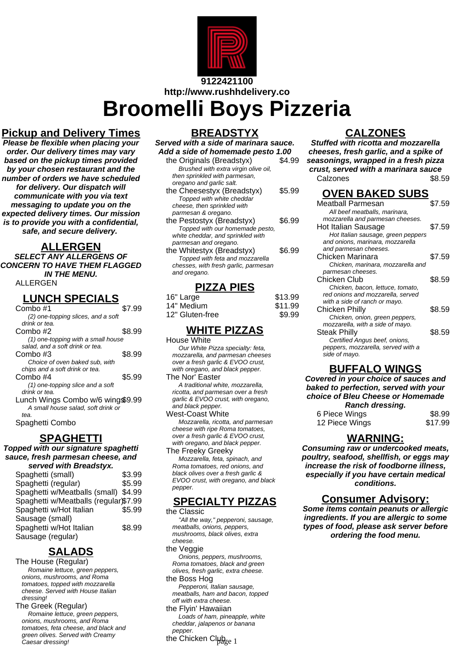

# **http://www.rushhdelivery.co**

**Broomelli Boys Pizzeria**

# **Pickup and Delivery Times**

**Please be flexible when placing your order. Our delivery times may vary based on the pickup times provided by your chosen restaurant and the number of orders we have scheduled for delivery. Our dispatch will communicate with you via text messaging to update you on the expected delivery times. Our mission is to provide you with a confidential, safe, and secure delivery.**

### **ALLERGEN**

**SELECT ANY ALLERGENS OF CONCERN TO HAVE THEM FLAGGED IN THE MENU.**

#### ALLERGEN

# **LUNCH SPECIALS**

| Combo #1                           | \$7.99 |
|------------------------------------|--------|
| (2) one-topping slices, and a soft |        |
| drink or tea.                      |        |
| Combo #2                           | \$8.99 |
| (1) one-topping with a small house |        |
| salad, and a soft drink or tea.    |        |
| Combo #3                           | \$8.99 |
| Choice of oven baked sub, with     |        |
| chips and a soft drink or tea.     |        |
| Combo #4                           | \$5.99 |
| (1) one-topping slice and a soft   |        |
| drink or tea.                      |        |
| Lunch Wings Combo w/6 wing\$9.99   |        |
| A small house salad, soft drink or |        |
| tea.                               |        |

Spaghetti Combo

#### **SPAGHETTI**

**Topped with our signature spaghetti sauce, fresh parmesan cheese, and served with Breadstyx.**

| Spaghetti (small)                     | \$3.99 |
|---------------------------------------|--------|
| Spaghetti (regular)                   | \$5.99 |
| Spaghetti w/Meatballs (small)         | \$4.99 |
| Spaghetti w/Meatballs (regular)\$7.99 |        |
| Spaghetti w/Hot Italian               | \$5.99 |
| Sausage (small)                       |        |
| Spaghetti w/Hot Italian               | \$8.99 |
| Sausage (regular)                     |        |
|                                       |        |

# **SALADS**

The House (Regular) Romaine lettuce, green peppers, onions, mushrooms, and Roma tomatoes, topped with mozzarella cheese. Served with House Italian dressing!

The Greek (Regular) Romaine lettuce, green peppers, onions, mushrooms, and Roma tomatoes, feta cheese, and black and green olives. Served with Creamy Caesar dressing!

## **BREADSTYX**

| Served with a side of marinara sauce. |        |
|---------------------------------------|--------|
| Add a side of homemade pesto 1.00     |        |
| the Originals (Breadstyx)             | \$4.99 |
| Brushed with extra virgin olive oil,  |        |
| then sprinkled with parmesan,         |        |
| oregano and garlic salt.              |        |
| the Cheesestyx (Breadstyx)            | \$5.99 |
| Topped with white cheddar             |        |
| cheese, then sprinkled with           |        |
| parmesan & oregano.                   |        |
| the Pestostyx (Breadstyx)             | \$6.99 |
| Topped with our homemade pesto,       |        |
| white cheddar, and sprinkled with     |        |
| parmesan and oregano.                 |        |
| the Whitestyx (Breadstyx)             | \$6.99 |
| Topped with feta and mozzarella       |        |
| chesses, with fresh garlic, parmesan  |        |
| and oregano.                          |        |

#### **PIZZA PIES**

| 16" Large       | \$13.99 |
|-----------------|---------|
| 14" Medium      | \$11.99 |
| 12" Gluten-free | \$9.99  |

### **WHITE PIZZAS**

House White Our White Pizza specialty: feta, mozzarella, and parmesan cheeses over a fresh garlic & EVOO crust, with oregano, and black pepper. The Nor' Easter A traditional white, mozzarella,

ricotta, and parmesan over a fresh garlic & EVOO crust, with oregano, and black pepper. West-Coast White

Mozzarella, ricotta, and parmesan cheese with ripe Roma tomatoes, over a fresh garlic & EVOO crust, with oregano, and black pepper. The Freeky Greeky

Mozzarella, feta, spinach, and Roma tomatoes, red onions, and black olives over a fresh garlic & EVOO crust, with oregano, and black pepper.

## **SPECIALTY PIZZAS**

the Classic "All the way," pepperoni, sausage, meatballs, onions, peppers, mushrooms, black olives, extra cheese.

the Veggie

Onions, peppers, mushrooms, Roma tomatoes, black and green olives, fresh garlic, extra cheese.

the Boss Hog Pepperoni, Italian sausage, meatballs, ham and bacon, topped off with extra cheese.

the Flyin' Hawaiian Loads of ham, pineapple, white cheddar, jalapenos or banana pepper.

the Chicken Cl $\mu_{\rm age\ 1}$ 

# **CALZONES**

**Stuffed with ricotta and mozzarella cheeses, fresh garlic, and a spike of seasonings, wrapped in a fresh pizza crust, served with a marinara sauce** Calzones \$8.59

#### **OVEN BAKED SUBS**

| Meatball Parmesan                  | \$7.59 |
|------------------------------------|--------|
| All beef meatballs, marinara,      |        |
| mozzarella and parmesan cheeses.   |        |
| Hot Italian Sausage                | \$7.59 |
| Hot Italian sausage, green peppers |        |
| and onions, marinara, mozzarella   |        |
| and parmesan cheeses.              |        |
| Chicken Marinara                   | \$7.59 |
| Chicken, marinara, mozzarella and  |        |
| parmesan cheeses.                  |        |
| Chicken Club                       | \$8.59 |
| Chicken, bacon, lettuce, tomato,   |        |
| red onions and mozzarella, served  |        |
| with a side of ranch or mayo.      |        |
| Chicken Philly                     | \$8.59 |
| Chicken, onion, green peppers,     |        |
| mozzarella, with a side of mayo.   |        |
| Steak Philly                       | \$8.59 |
| Certified Angus beef, onions,      |        |
| peppers, mozzarella, served with a |        |
| side of mayo.                      |        |
|                                    |        |

#### **BUFFALO WINGS**

**Covered in your choice of sauces and baked to perfection, served with your choice of Bleu Cheese or Homemade Ranch dressing.**

| 6 Piece Wings  | \$8.99  |
|----------------|---------|
| 12 Piece Wings | \$17.99 |

#### **WARNING:**

**Consuming raw or undercooked meats, poultry, seafood, shellfish, or eggs may increase the risk of foodborne illness, especially if you have certain medical conditions.**

## **Consumer Advisory:**

**Some items contain peanuts or allergic ingredients. If you are allergic to some types of food, please ask server before ordering the food menu.**